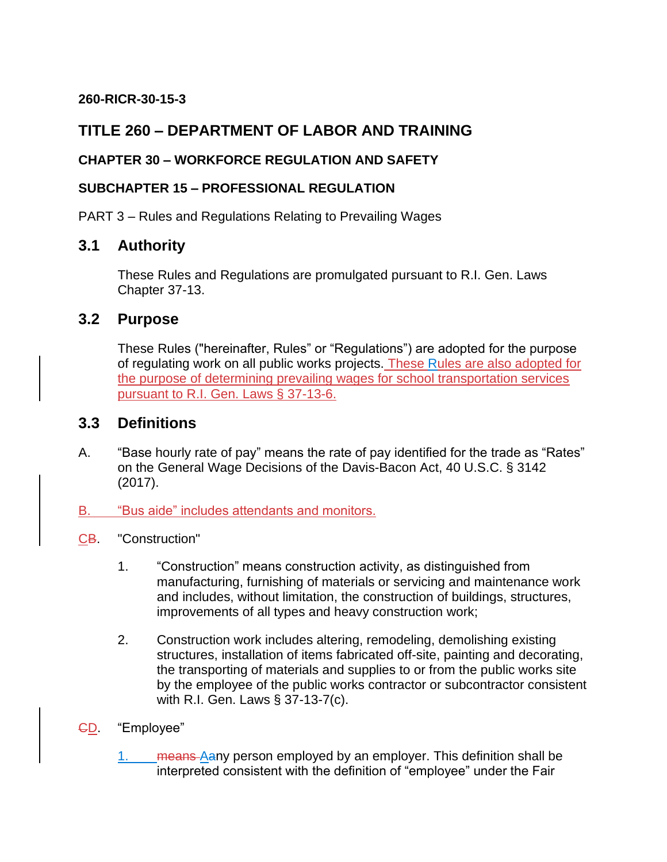#### **260-RICR-30-15-3**

## **TITLE 260 – DEPARTMENT OF LABOR AND TRAINING**

#### **CHAPTER 30 – WORKFORCE REGULATION AND SAFETY**

#### **SUBCHAPTER 15 – PROFESSIONAL REGULATION**

PART 3 – Rules and Regulations Relating to Prevailing Wages

### **3.1 Authority**

These Rules and Regulations are promulgated pursuant to R.I. Gen. Laws Chapter 37-13.

### **3.2 Purpose**

These Rules ("hereinafter, Rules" or "Regulations") are adopted for the purpose of regulating work on all public works projects. These Rules are also adopted for the purpose of determining prevailing wages for school transportation services pursuant to R.I. Gen. Laws § 37-13-6.

### **3.3 Definitions**

- A. "Base hourly rate of pay" means the rate of pay identified for the trade as "Rates" on the General Wage Decisions of the Davis-Bacon Act, 40 U.S.C. § 3142 (2017).
- B. "Bus aide" includes attendants and monitors.
- CB. "Construction"
	- 1. "Construction" means construction activity, as distinguished from manufacturing, furnishing of materials or servicing and maintenance work and includes, without limitation, the construction of buildings, structures, improvements of all types and heavy construction work;
	- 2. Construction work includes altering, remodeling, demolishing existing structures, installation of items fabricated off-site, painting and decorating, the transporting of materials and supplies to or from the public works site by the employee of the public works contractor or subcontractor consistent with R.I. Gen. Laws § 37-13-7(c).
- CD. "Employee"
	- 1. means Aany person employed by an employer. This definition shall be interpreted consistent with the definition of "employee" under the Fair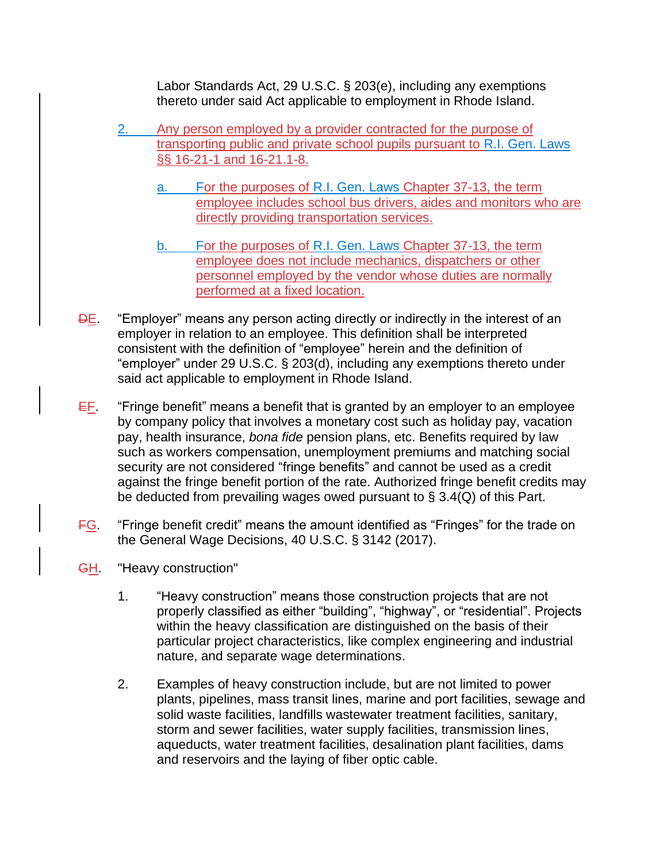Labor Standards Act, 29 U.S.C. § 203(e), including any exemptions thereto under said Act applicable to employment in Rhode Island.

- 2. Any person employed by a provider contracted for the purpose of transporting public and private school pupils pursuant to R.I. Gen. Laws §§ 16-21-1 and 16-21.1-8.
	- a. For the purposes of R.I. Gen. Laws Chapter 37-13, the term employee includes school bus drivers, aides and monitors who are directly providing transportation services.
	- b. For the purposes of R.I. Gen. Laws Chapter 37-13, the term employee does not include mechanics, dispatchers or other personnel employed by the vendor whose duties are normally performed at a fixed location.
- DE. "Employer" means any person acting directly or indirectly in the interest of an employer in relation to an employee. This definition shall be interpreted consistent with the definition of "employee" herein and the definition of "employer" under 29 U.S.C. § 203(d), including any exemptions thereto under said act applicable to employment in Rhode Island.
- $E_F$ . "Fringe benefit" means a benefit that is granted by an employer to an employee by company policy that involves a monetary cost such as holiday pay, vacation pay, health insurance, *bona fide* pension plans, etc. Benefits required by law such as workers compensation, unemployment premiums and matching social security are not considered "fringe benefits" and cannot be used as a credit against the fringe benefit portion of the rate. Authorized fringe benefit credits may be deducted from prevailing wages owed pursuant to  $\S$  3.4(Q) of this Part.
- **FG.** "Fringe benefit credit" means the amount identified as "Fringes" for the trade on the General Wage Decisions, 40 U.S.C. § 3142 (2017).
- **GH.** "Heavy construction"
	- 1. "Heavy construction" means those construction projects that are not properly classified as either "building", "highway", or "residential". Projects within the heavy classification are distinguished on the basis of their particular project characteristics, like complex engineering and industrial nature, and separate wage determinations.
	- 2. Examples of heavy construction include, but are not limited to power plants, pipelines, mass transit lines, marine and port facilities, sewage and solid waste facilities, landfills wastewater treatment facilities, sanitary, storm and sewer facilities, water supply facilities, transmission lines, aqueducts, water treatment facilities, desalination plant facilities, dams and reservoirs and the laying of fiber optic cable.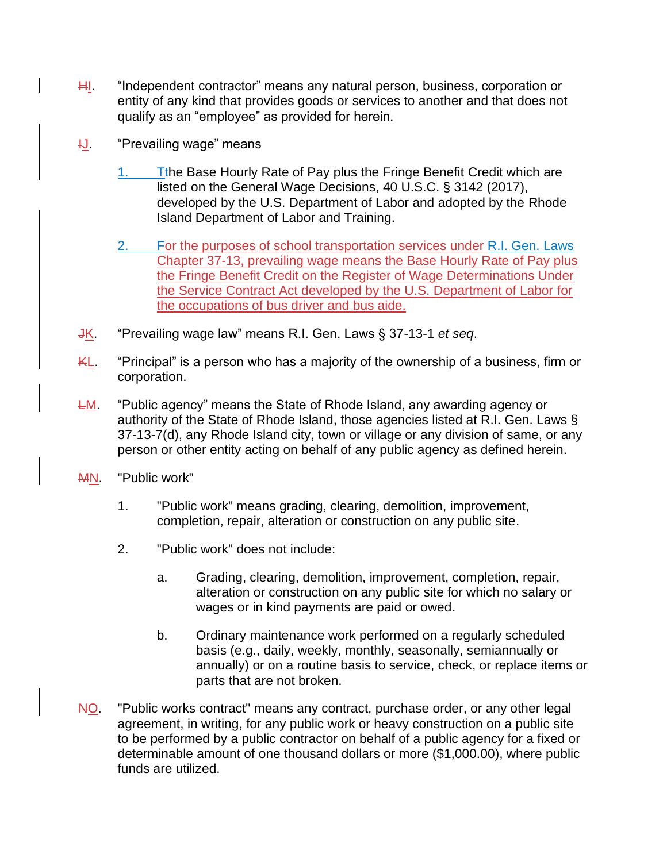- H<sub>1</sub>. "Independent contractor" means any natural person, business, corporation or entity of any kind that provides goods or services to another and that does not qualify as an "employee" as provided for herein.
- **IJ.** "Prevailing wage" means
	- $1.$  T<sub>the</sub> Base Hourly Rate of Pay plus the Fringe Benefit Credit which are listed on the General Wage Decisions, 40 U.S.C. § 3142 (2017), developed by the U.S. Department of Labor and adopted by the Rhode Island Department of Labor and Training.
	- 2. For the purposes of school transportation services under R.I. Gen. Laws Chapter 37-13, prevailing wage means the Base Hourly Rate of Pay plus the Fringe Benefit Credit on the Register of Wage Determinations Under the Service Contract Act developed by the U.S. Department of Labor for the occupations of bus driver and bus aide.
- JK. "Prevailing wage law" means R.I. Gen. Laws § 37-13-1 *et seq*.
- KL. "Principal" is a person who has a majority of the ownership of a business, firm or corporation.
- **LM.** "Public agency" means the State of Rhode Island, any awarding agency or authority of the State of Rhode Island, those agencies listed at R.I. Gen. Laws § 37-13-7(d), any Rhode Island city, town or village or any division of same, or any person or other entity acting on behalf of any public agency as defined herein.
- MN. "Public work"
	- 1. "Public work" means grading, clearing, demolition, improvement, completion, repair, alteration or construction on any public site.
	- 2. "Public work" does not include:
		- a. Grading, clearing, demolition, improvement, completion, repair, alteration or construction on any public site for which no salary or wages or in kind payments are paid or owed.
		- b. Ordinary maintenance work performed on a regularly scheduled basis (e.g., daily, weekly, monthly, seasonally, semiannually or annually) or on a routine basis to service, check, or replace items or parts that are not broken.
- NO. "Public works contract" means any contract, purchase order, or any other legal agreement, in writing, for any public work or heavy construction on a public site to be performed by a public contractor on behalf of a public agency for a fixed or determinable amount of one thousand dollars or more (\$1,000.00), where public funds are utilized.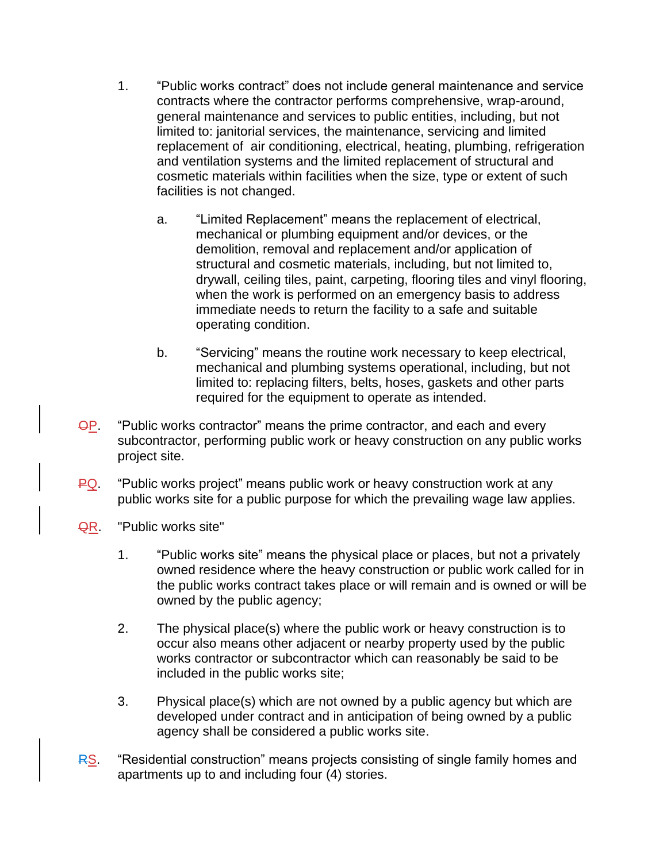- 1. "Public works contract" does not include general maintenance and service contracts where the contractor performs comprehensive, wrap-around, general maintenance and services to public entities, including, but not limited to: janitorial services, the maintenance, servicing and limited replacement of air conditioning, electrical, heating, plumbing, refrigeration and ventilation systems and the limited replacement of structural and cosmetic materials within facilities when the size, type or extent of such facilities is not changed.
	- a. "Limited Replacement" means the replacement of electrical, mechanical or plumbing equipment and/or devices, or the demolition, removal and replacement and/or application of structural and cosmetic materials, including, but not limited to, drywall, ceiling tiles, paint, carpeting, flooring tiles and vinyl flooring, when the work is performed on an emergency basis to address immediate needs to return the facility to a safe and suitable operating condition.
	- b. "Servicing" means the routine work necessary to keep electrical, mechanical and plumbing systems operational, including, but not limited to: replacing filters, belts, hoses, gaskets and other parts required for the equipment to operate as intended.
- **OP.** "Public works contractor" means the prime contractor, and each and every subcontractor, performing public work or heavy construction on any public works project site.
- PQ. "Public works project" means public work or heavy construction work at any public works site for a public purpose for which the prevailing wage law applies.
- QR. "Public works site"
	- 1. "Public works site" means the physical place or places, but not a privately owned residence where the heavy construction or public work called for in the public works contract takes place or will remain and is owned or will be owned by the public agency;
	- 2. The physical place(s) where the public work or heavy construction is to occur also means other adjacent or nearby property used by the public works contractor or subcontractor which can reasonably be said to be included in the public works site;
	- 3. Physical place(s) which are not owned by a public agency but which are developed under contract and in anticipation of being owned by a public agency shall be considered a public works site.
- RS. "Residential construction" means projects consisting of single family homes and apartments up to and including four (4) stories.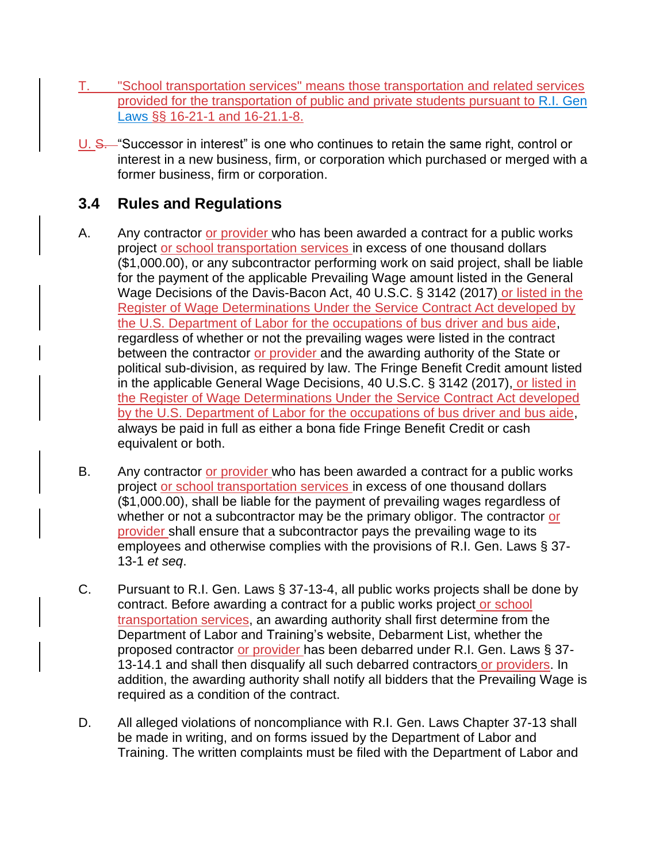- T. "School transportation services" means those transportation and related services provided for the transportation of public and private students pursuant to R.I. Gen Laws §§ 16-21-1 and 16-21.1-8.
- U. S. "Successor in interest" is one who continues to retain the same right, control or interest in a new business, firm, or corporation which purchased or merged with a former business, firm or corporation.

# **3.4 Rules and Regulations**

- A. Any contractor or provider who has been awarded a contract for a public works project or school transportation services in excess of one thousand dollars (\$1,000.00), or any subcontractor performing work on said project, shall be liable for the payment of the applicable Prevailing Wage amount listed in the General Wage Decisions of the Davis-Bacon Act, 40 U.S.C. § 3142 (2017) or listed in the Register of Wage Determinations Under the Service Contract Act developed by the U.S. Department of Labor for the occupations of bus driver and bus aide, regardless of whether or not the prevailing wages were listed in the contract between the contractor or provider and the awarding authority of the State or political sub-division, as required by law. The Fringe Benefit Credit amount listed in the applicable General Wage Decisions, 40 U.S.C. § 3142 (2017), or listed in the Register of Wage Determinations Under the Service Contract Act developed by the U.S. Department of Labor for the occupations of bus driver and bus aide, always be paid in full as either a bona fide Fringe Benefit Credit or cash equivalent or both.
- B. Any contractor or provider who has been awarded a contract for a public works project or school transportation services in excess of one thousand dollars (\$1,000.00), shall be liable for the payment of prevailing wages regardless of whether or not a subcontractor may be the primary obligor. The contractor or provider shall ensure that a subcontractor pays the prevailing wage to its employees and otherwise complies with the provisions of R.I. Gen. Laws § 37- 13-1 *et seq*.
- C. Pursuant to R.I. Gen. Laws § 37-13-4, all public works projects shall be done by contract. Before awarding a contract for a public works project or school transportation services, an awarding authority shall first determine from the Department of Labor and Training's website, Debarment List, whether the proposed contractor or provider has been debarred under R.I. Gen. Laws § 37-13-14.1 and shall then disqualify all such debarred contractors or providers. In addition, the awarding authority shall notify all bidders that the Prevailing Wage is required as a condition of the contract.
- D. All alleged violations of noncompliance with R.I. Gen. Laws Chapter 37-13 shall be made in writing, and on forms issued by the Department of Labor and Training. The written complaints must be filed with the Department of Labor and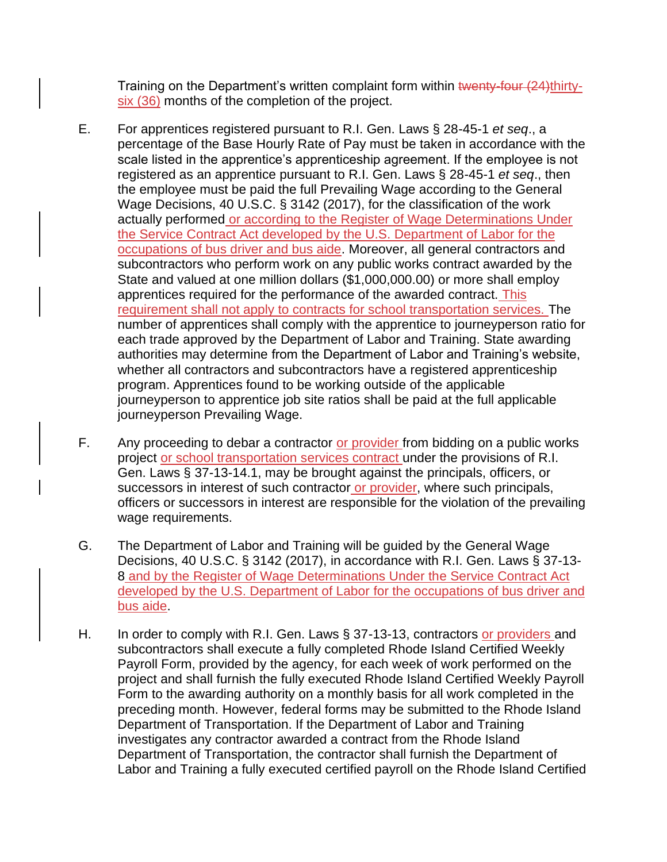Training on the Department's written complaint form within twenty-four (24)thirtysix (36) months of the completion of the project.

- E. For apprentices registered pursuant to R.I. Gen. Laws § 28-45-1 *et seq*., a percentage of the Base Hourly Rate of Pay must be taken in accordance with the scale listed in the apprentice's apprenticeship agreement. If the employee is not registered as an apprentice pursuant to R.I. Gen. Laws § 28-45-1 *et seq*., then the employee must be paid the full Prevailing Wage according to the General Wage Decisions, 40 U.S.C. § 3142 (2017), for the classification of the work actually performed or according to the Register of Wage Determinations Under the Service Contract Act developed by the U.S. Department of Labor for the occupations of bus driver and bus aide. Moreover, all general contractors and subcontractors who perform work on any public works contract awarded by the State and valued at one million dollars (\$1,000,000.00) or more shall employ apprentices required for the performance of the awarded contract. This requirement shall not apply to contracts for school transportation services. The number of apprentices shall comply with the apprentice to journeyperson ratio for each trade approved by the Department of Labor and Training. State awarding authorities may determine from the Department of Labor and Training's website, whether all contractors and subcontractors have a registered apprenticeship program. Apprentices found to be working outside of the applicable journeyperson to apprentice job site ratios shall be paid at the full applicable journeyperson Prevailing Wage.
- F. Any proceeding to debar a contractor or provider from bidding on a public works project or school transportation services contract under the provisions of R.I. Gen. Laws § 37-13-14.1, may be brought against the principals, officers, or successors in interest of such contractor or provider, where such principals, officers or successors in interest are responsible for the violation of the prevailing wage requirements.
- G. The Department of Labor and Training will be guided by the General Wage Decisions, 40 U.S.C. § 3142 (2017), in accordance with R.I. Gen. Laws § 37-13- 8 and by the Register of Wage Determinations Under the Service Contract Act developed by the U.S. Department of Labor for the occupations of bus driver and bus aide.
- H. In order to comply with R.I. Gen. Laws § 37-13-13, contractors or providers and subcontractors shall execute a fully completed Rhode Island Certified Weekly Payroll Form, provided by the agency, for each week of work performed on the project and shall furnish the fully executed Rhode Island Certified Weekly Payroll Form to the awarding authority on a monthly basis for all work completed in the preceding month. However, federal forms may be submitted to the Rhode Island Department of Transportation. If the Department of Labor and Training investigates any contractor awarded a contract from the Rhode Island Department of Transportation, the contractor shall furnish the Department of Labor and Training a fully executed certified payroll on the Rhode Island Certified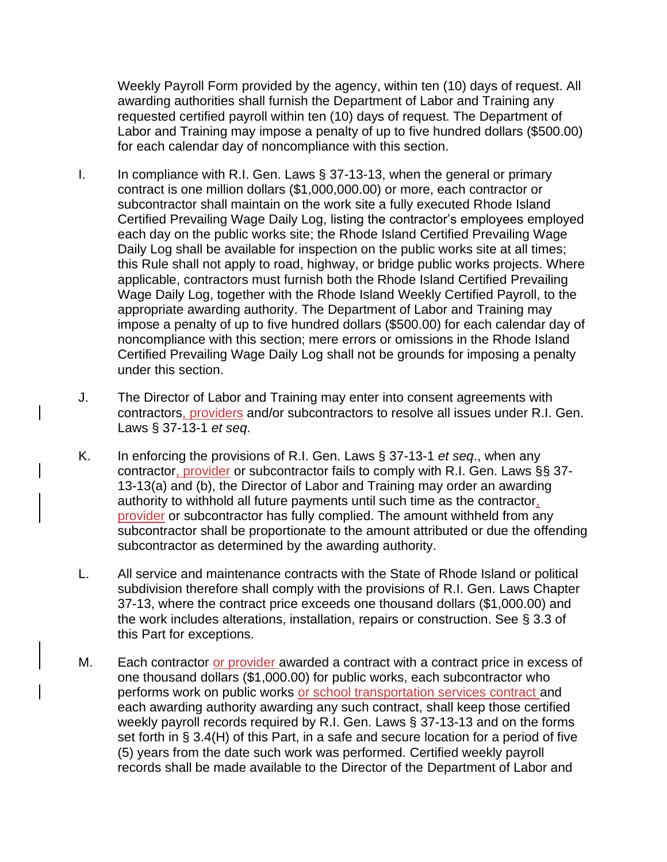Weekly Payroll Form provided by the agency, within ten (10) days of request. All awarding authorities shall furnish the Department of Labor and Training any requested certified payroll within ten (10) days of request. The Department of Labor and Training may impose a penalty of up to five hundred dollars (\$500.00) for each calendar day of noncompliance with this section.

- I. In compliance with R.I. Gen. Laws  $\S$  37-13-13, when the general or primary contract is one million dollars (\$1,000,000.00) or more, each contractor or subcontractor shall maintain on the work site a fully executed Rhode Island Certified Prevailing Wage Daily Log, listing the contractor's employees employed each day on the public works site; the Rhode Island Certified Prevailing Wage Daily Log shall be available for inspection on the public works site at all times; this Rule shall not apply to road, highway, or bridge public works projects. Where applicable, contractors must furnish both the Rhode Island Certified Prevailing Wage Daily Log, together with the Rhode Island Weekly Certified Payroll, to the appropriate awarding authority. The Department of Labor and Training may impose a penalty of up to five hundred dollars (\$500.00) for each calendar day of noncompliance with this section; mere errors or omissions in the Rhode Island Certified Prevailing Wage Daily Log shall not be grounds for imposing a penalty under this section.
- J. The Director of Labor and Training may enter into consent agreements with contractors, providers and/or subcontractors to resolve all issues under R.I. Gen. Laws § 37-13-1 *et seq*.
- K. In enforcing the provisions of R.I. Gen. Laws § 37-13-1 *et seq*., when any contractor, provider or subcontractor fails to comply with R.I. Gen. Laws §§ 37- 13-13(a) and (b), the Director of Labor and Training may order an awarding authority to withhold all future payments until such time as the contractor, provider or subcontractor has fully complied. The amount withheld from any subcontractor shall be proportionate to the amount attributed or due the offending subcontractor as determined by the awarding authority.
- L. All service and maintenance contracts with the State of Rhode Island or political subdivision therefore shall comply with the provisions of R.I. Gen. Laws Chapter 37-13, where the contract price exceeds one thousand dollars (\$1,000.00) and the work includes alterations, installation, repairs or construction. See § 3.3 of this Part for exceptions.
- M. Each contractor or provider awarded a contract with a contract price in excess of one thousand dollars (\$1,000.00) for public works, each subcontractor who performs work on public works or school transportation services contract and each awarding authority awarding any such contract, shall keep those certified weekly payroll records required by R.I. Gen. Laws § 37-13-13 and on the forms set forth in § 3.4(H) of this Part, in a safe and secure location for a period of five (5) years from the date such work was performed. Certified weekly payroll records shall be made available to the Director of the Department of Labor and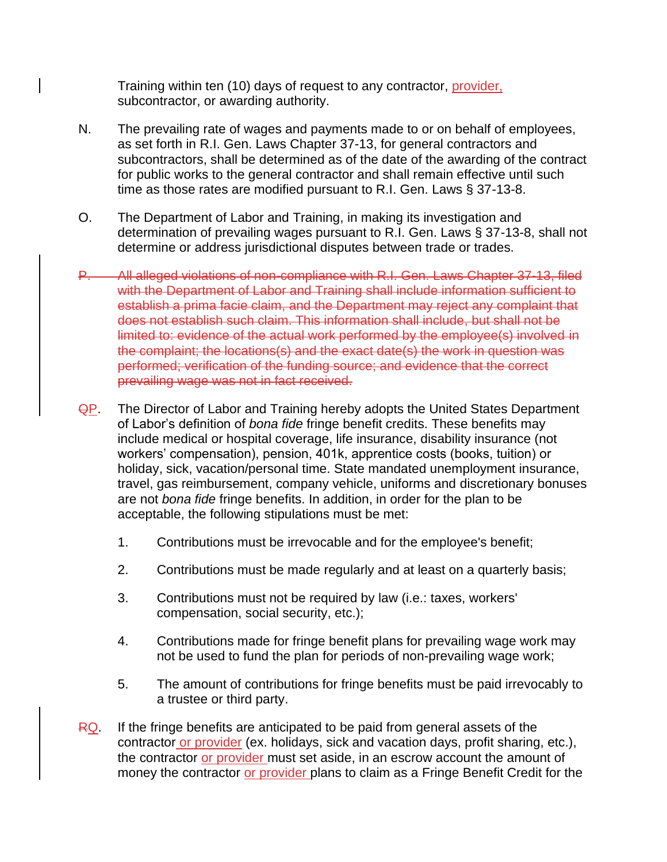Training within ten (10) days of request to any contractor, provider, subcontractor, or awarding authority.

- N. The prevailing rate of wages and payments made to or on behalf of employees, as set forth in R.I. Gen. Laws Chapter 37-13, for general contractors and subcontractors, shall be determined as of the date of the awarding of the contract for public works to the general contractor and shall remain effective until such time as those rates are modified pursuant to R.I. Gen. Laws § 37-13-8.
- O. The Department of Labor and Training, in making its investigation and determination of prevailing wages pursuant to R.I. Gen. Laws § 37-13-8, shall not determine or address jurisdictional disputes between trade or trades.
- P. All alleged violations of non-compliance with R.I. Gen. Laws Chapter 37-13, filed with the Department of Labor and Training shall include information sufficient to establish a prima facie claim, and the Department may reject any complaint that does not establish such claim. This information shall include, but shall not be limited to: evidence of the actual work performed by the employee(s) involved in the complaint; the locations(s) and the exact date(s) the work in question was performed; verification of the funding source; and evidence that the correct prevailing wage was not in fact received.
- QP. The Director of Labor and Training hereby adopts the United States Department of Labor's definition of *bona fide* fringe benefit credits. These benefits may include medical or hospital coverage, life insurance, disability insurance (not workers' compensation), pension, 401k, apprentice costs (books, tuition) or holiday, sick, vacation/personal time. State mandated unemployment insurance, travel, gas reimbursement, company vehicle, uniforms and discretionary bonuses are not *bona fide* fringe benefits. In addition, in order for the plan to be acceptable, the following stipulations must be met:
	- 1. Contributions must be irrevocable and for the employee's benefit;
	- 2. Contributions must be made regularly and at least on a quarterly basis;
	- 3. Contributions must not be required by law (i.e.: taxes, workers' compensation, social security, etc.);
	- 4. Contributions made for fringe benefit plans for prevailing wage work may not be used to fund the plan for periods of non-prevailing wage work;
	- 5. The amount of contributions for fringe benefits must be paid irrevocably to a trustee or third party.
- $RQ$ . If the fringe benefits are anticipated to be paid from general assets of the contractor or provider (ex. holidays, sick and vacation days, profit sharing, etc.), the contractor or provider must set aside, in an escrow account the amount of money the contractor or provider plans to claim as a Fringe Benefit Credit for the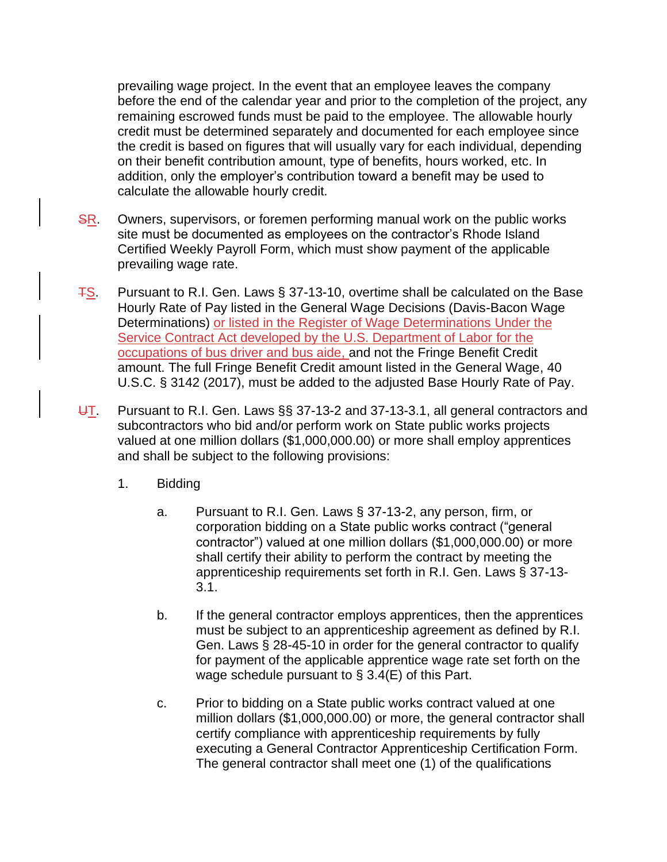prevailing wage project. In the event that an employee leaves the company before the end of the calendar year and prior to the completion of the project, any remaining escrowed funds must be paid to the employee. The allowable hourly credit must be determined separately and documented for each employee since the credit is based on figures that will usually vary for each individual, depending on their benefit contribution amount, type of benefits, hours worked, etc. In addition, only the employer's contribution toward a benefit may be used to calculate the allowable hourly credit.

- SR. Owners, supervisors, or foremen performing manual work on the public works site must be documented as employees on the contractor's Rhode Island Certified Weekly Payroll Form, which must show payment of the applicable prevailing wage rate.
- $\frac{TS}{15}$ . Pursuant to R.I. Gen. Laws § 37-13-10, overtime shall be calculated on the Base Hourly Rate of Pay listed in the General Wage Decisions (Davis-Bacon Wage Determinations) or listed in the Register of Wage Determinations Under the Service Contract Act developed by the U.S. Department of Labor for the occupations of bus driver and bus aide, and not the Fringe Benefit Credit amount. The full Fringe Benefit Credit amount listed in the General Wage, 40 U.S.C. § 3142 (2017), must be added to the adjusted Base Hourly Rate of Pay.
- $\overline{U}$ . Pursuant to R.I. Gen. Laws §§ 37-13-2 and 37-13-3.1, all general contractors and subcontractors who bid and/or perform work on State public works projects valued at one million dollars (\$1,000,000.00) or more shall employ apprentices and shall be subject to the following provisions:
	- 1. Bidding
		- a. Pursuant to R.I. Gen. Laws § 37-13-2, any person, firm, or corporation bidding on a State public works contract ("general contractor") valued at one million dollars (\$1,000,000.00) or more shall certify their ability to perform the contract by meeting the apprenticeship requirements set forth in R.I. Gen. Laws § 37-13- 3.1.
		- b. If the general contractor employs apprentices, then the apprentices must be subject to an apprenticeship agreement as defined by R.I. Gen. Laws § 28-45-10 in order for the general contractor to qualify for payment of the applicable apprentice wage rate set forth on the wage schedule pursuant to § 3.4(E) of this Part.
		- c. Prior to bidding on a State public works contract valued at one million dollars (\$1,000,000.00) or more, the general contractor shall certify compliance with apprenticeship requirements by fully executing a General Contractor Apprenticeship Certification Form. The general contractor shall meet one (1) of the qualifications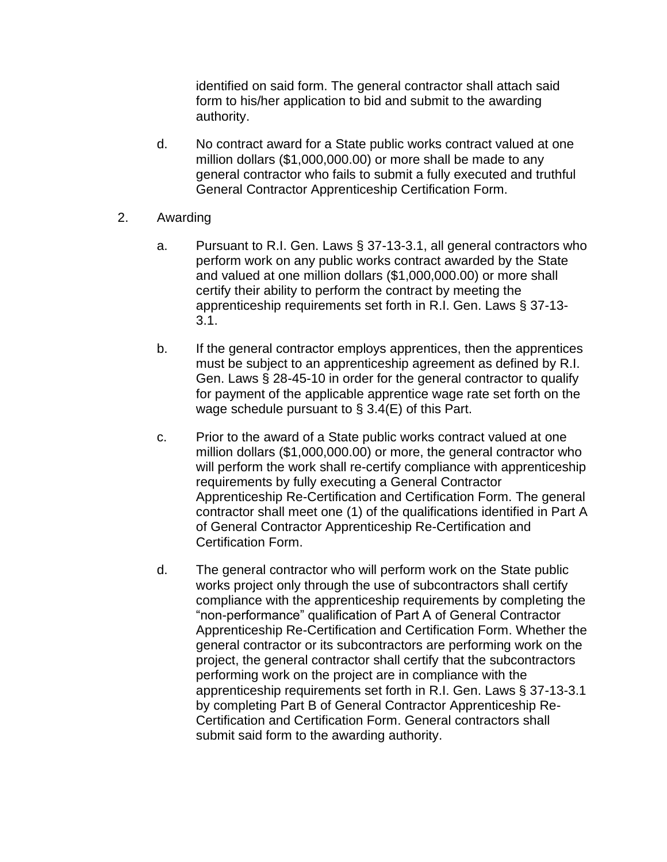identified on said form. The general contractor shall attach said form to his/her application to bid and submit to the awarding authority.

- d. No contract award for a State public works contract valued at one million dollars (\$1,000,000.00) or more shall be made to any general contractor who fails to submit a fully executed and truthful General Contractor Apprenticeship Certification Form.
- 2. Awarding
	- a. Pursuant to R.I. Gen. Laws § 37-13-3.1, all general contractors who perform work on any public works contract awarded by the State and valued at one million dollars (\$1,000,000.00) or more shall certify their ability to perform the contract by meeting the apprenticeship requirements set forth in R.I. Gen. Laws § 37-13- 3.1.
	- b. If the general contractor employs apprentices, then the apprentices must be subject to an apprenticeship agreement as defined by R.I. Gen. Laws § 28-45-10 in order for the general contractor to qualify for payment of the applicable apprentice wage rate set forth on the wage schedule pursuant to § 3.4(E) of this Part.
	- c. Prior to the award of a State public works contract valued at one million dollars (\$1,000,000.00) or more, the general contractor who will perform the work shall re-certify compliance with apprenticeship requirements by fully executing a General Contractor Apprenticeship Re-Certification and Certification Form. The general contractor shall meet one (1) of the qualifications identified in Part A of General Contractor Apprenticeship Re-Certification and Certification Form.
	- d. The general contractor who will perform work on the State public works project only through the use of subcontractors shall certify compliance with the apprenticeship requirements by completing the "non-performance" qualification of Part A of General Contractor Apprenticeship Re-Certification and Certification Form. Whether the general contractor or its subcontractors are performing work on the project, the general contractor shall certify that the subcontractors performing work on the project are in compliance with the apprenticeship requirements set forth in R.I. Gen. Laws § 37-13-3.1 by completing Part B of General Contractor Apprenticeship Re-Certification and Certification Form. General contractors shall submit said form to the awarding authority.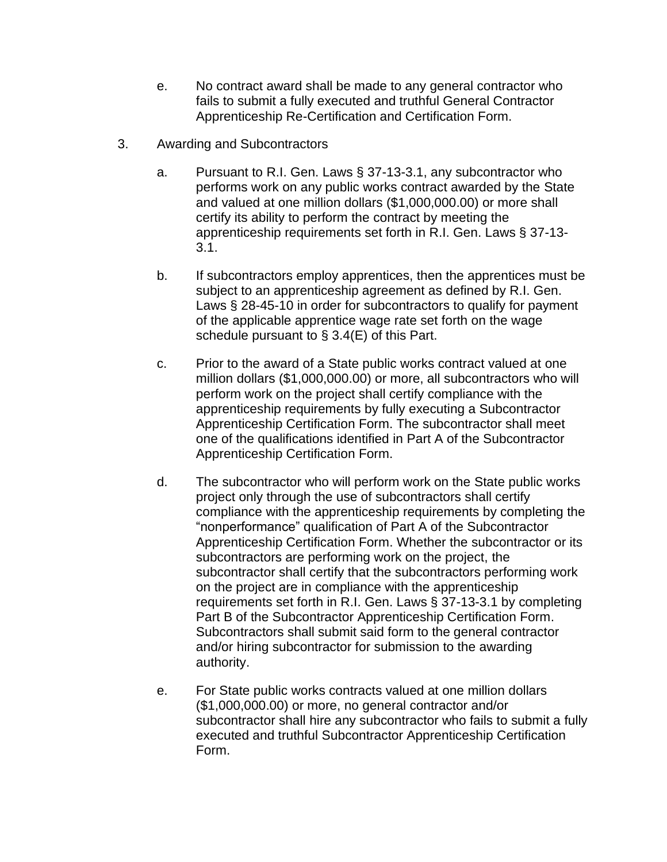- e. No contract award shall be made to any general contractor who fails to submit a fully executed and truthful General Contractor Apprenticeship Re-Certification and Certification Form.
- 3. Awarding and Subcontractors
	- a. Pursuant to R.I. Gen. Laws § 37-13-3.1, any subcontractor who performs work on any public works contract awarded by the State and valued at one million dollars (\$1,000,000.00) or more shall certify its ability to perform the contract by meeting the apprenticeship requirements set forth in R.I. Gen. Laws § 37-13- 3.1.
	- b. If subcontractors employ apprentices, then the apprentices must be subject to an apprenticeship agreement as defined by R.I. Gen. Laws § 28-45-10 in order for subcontractors to qualify for payment of the applicable apprentice wage rate set forth on the wage schedule pursuant to § 3.4(E) of this Part.
	- c. Prior to the award of a State public works contract valued at one million dollars (\$1,000,000.00) or more, all subcontractors who will perform work on the project shall certify compliance with the apprenticeship requirements by fully executing a Subcontractor Apprenticeship Certification Form. The subcontractor shall meet one of the qualifications identified in Part A of the Subcontractor Apprenticeship Certification Form.
	- d. The subcontractor who will perform work on the State public works project only through the use of subcontractors shall certify compliance with the apprenticeship requirements by completing the "nonperformance" qualification of Part A of the Subcontractor Apprenticeship Certification Form. Whether the subcontractor or its subcontractors are performing work on the project, the subcontractor shall certify that the subcontractors performing work on the project are in compliance with the apprenticeship requirements set forth in R.I. Gen. Laws § 37-13-3.1 by completing Part B of the Subcontractor Apprenticeship Certification Form. Subcontractors shall submit said form to the general contractor and/or hiring subcontractor for submission to the awarding authority.
	- e. For State public works contracts valued at one million dollars (\$1,000,000.00) or more, no general contractor and/or subcontractor shall hire any subcontractor who fails to submit a fully executed and truthful Subcontractor Apprenticeship Certification Form.